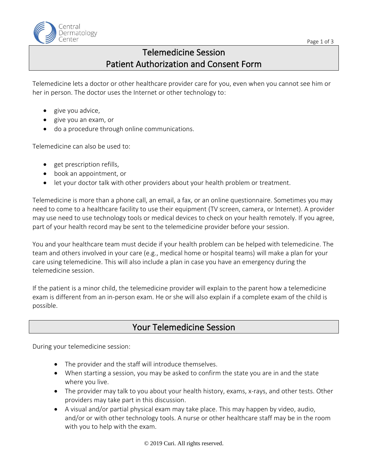

# Telemedicine Session Patient Authorization and Consent Form

Telemedicine lets a doctor or other healthcare provider care for you, even when you cannot see him or her in person. The doctor uses the Internet or other technology to:

- give you advice,
- give you an exam, or
- do a procedure through online communications.

Telemedicine can also be used to:

- get prescription refills,
- book an appointment, or
- let your doctor talk with other providers about your health problem or treatment.

Telemedicine is more than a phone call, an email, a fax, or an online questionnaire. Sometimes you may need to come to a healthcare facility to use their equipment (TV screen, camera, or Internet). A provider may use need to use technology tools or medical devices to check on your health remotely. If you agree, part of your health record may be sent to the telemedicine provider before your session.

You and your healthcare team must decide if your health problem can be helped with telemedicine. The team and others involved in your care (e.g., medical home or hospital teams) will make a plan for your care using telemedicine. This will also include a plan in case you have an emergency during the telemedicine session.

If the patient is a minor child, the telemedicine provider will explain to the parent how a telemedicine exam is different from an in-person exam. He or she will also explain if a complete exam of the child is possible.

### Your Telemedicine Session

During your telemedicine session:

- The provider and the staff will introduce themselves.
- When starting a session, you may be asked to confirm the state you are in and the state where you live.
- The provider may talk to you about your health history, exams, x-rays, and other tests. Other providers may take part in this discussion.
- A visual and/or partial physical exam may take place. This may happen by video, audio, and/or or with other technology tools. A nurse or other healthcare staff may be in the room with you to help with the exam.

© 2019 Curi. All rights reserved.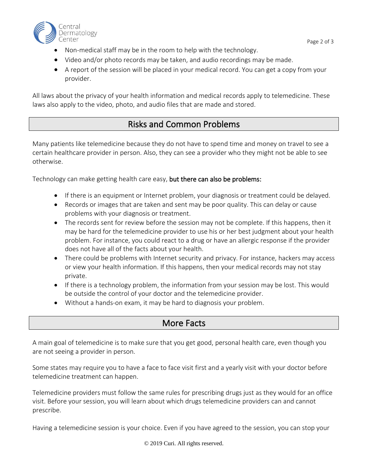

- Non-medical staff may be in the room to help with the technology.
- Video and/or photo records may be taken, and audio recordings may be made.
- A report of the session will be placed in your medical record. You can get a copy from your provider.

All laws about the privacy of your health information and medical records apply to telemedicine. These laws also apply to the video, photo, and audio files that are made and stored.

## Risks and Common Problems

Many patients like telemedicine because they do not have to spend time and money on travel to see a certain healthcare provider in person. Also, they can see a provider who they might not be able to see otherwise.

Technology can make getting health care easy, but there can also be problems:

- If there is an equipment or Internet problem, your diagnosis or treatment could be delayed.
- Records or images that are taken and sent may be poor quality. This can delay or cause problems with your diagnosis or treatment.
- The records sent for review before the session may not be complete. If this happens, then it may be hard for the telemedicine provider to use his or her best judgment about your health problem. For instance, you could react to a drug or have an allergic response if the provider does not have all of the facts about your health.
- There could be problems with Internet security and privacy. For instance, hackers may access or view your health information. If this happens, then your medical records may not stay private.
- If there is a technology problem, the information from your session may be lost. This would be outside the control of your doctor and the telemedicine provider.
- Without a hands-on exam, it may be hard to diagnosis your problem.

### More Facts

A main goal of telemedicine is to make sure that you get good, personal health care, even though you are not seeing a provider in person.

Some states may require you to have a face to face visit first and a yearly visit with your doctor before telemedicine treatment can happen.

Telemedicine providers must follow the same rules for prescribing drugs just as they would for an office visit. Before your session, you will learn about which drugs telemedicine providers can and cannot prescribe.

Having a telemedicine session is your choice. Even if you have agreed to the session, you can stop your